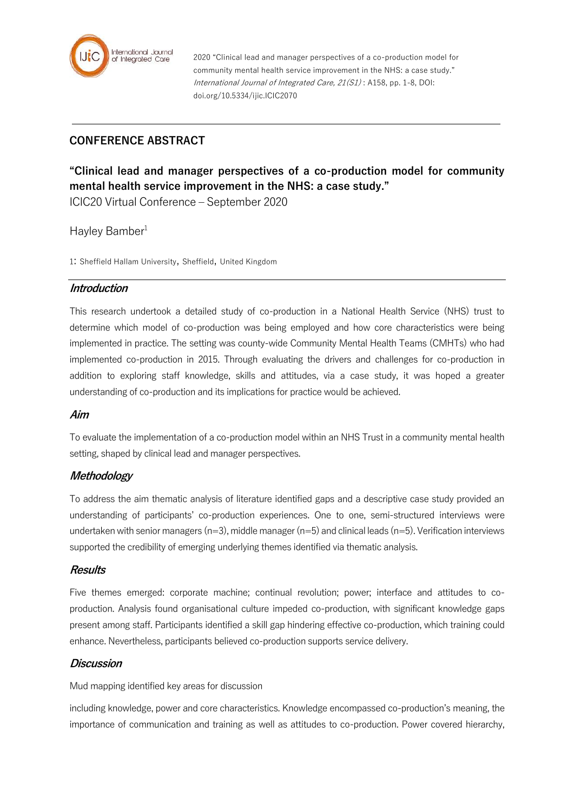

2020 "Clinical lead and manager perspectives of a co-production model for community mental health service improvement in the NHS: a case study." International Journal of Integrated Care, 21(S1) : A158, pp. 1-8, DOI: doi.org/10.5334/ijic.ICIC2070

# **CONFERENCE ABSTRACT**

# **"Clinical lead and manager perspectives of a co-production model for community mental health service improvement in the NHS: a case study."**

ICIC20 Virtual Conference – September 2020

# Hayley Bamber<sup>1</sup>

1: Sheffield Hallam University, Sheffield, United Kingdom

# **Introduction**

This research undertook a detailed study of co-production in a National Health Service (NHS) trust to determine which model of co-production was being employed and how core characteristics were being implemented in practice. The setting was county-wide Community Mental Health Teams (CMHTs) who had implemented co-production in 2015. Through evaluating the drivers and challenges for co-production in addition to exploring staff knowledge, skills and attitudes, via a case study, it was hoped a greater understanding of co-production and its implications for practice would be achieved.

# **Aim**

To evaluate the implementation of a co-production model within an NHS Trust in a community mental health setting, shaped by clinical lead and manager perspectives.

# **Methodology**

To address the aim thematic analysis of literature identified gaps and a descriptive case study provided an understanding of participants' co-production experiences. One to one, semi-structured interviews were undertaken with senior managers (n=3), middle manager (n=5) and clinical leads (n=5). Verification interviews supported the credibility of emerging underlying themes identified via thematic analysis.

#### **Results**

Five themes emerged: corporate machine; continual revolution; power; interface and attitudes to coproduction. Analysis found organisational culture impeded co-production, with significant knowledge gaps present among staff. Participants identified a skill gap hindering effective co-production, which training could enhance. Nevertheless, participants believed co-production supports service delivery.

# **Discussion**

Mud mapping identified key areas for discussion

including knowledge, power and core characteristics. Knowledge encompassed co-production's meaning, the importance of communication and training as well as attitudes to co-production. Power covered hierarchy,